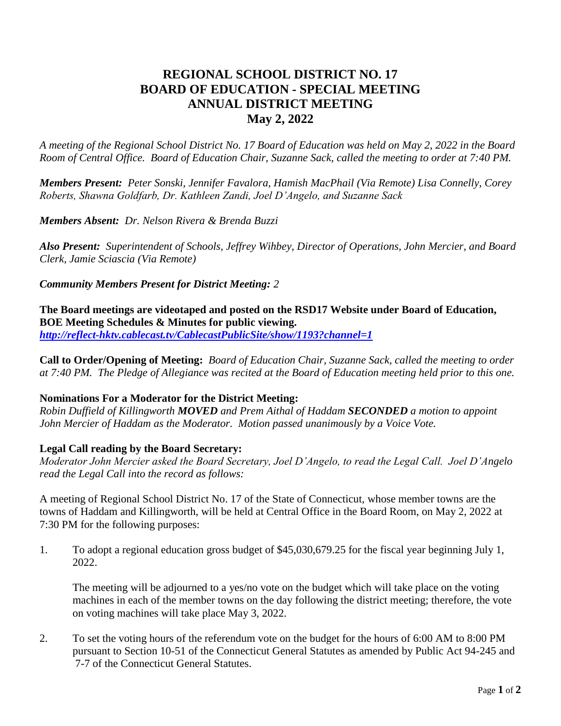# **REGIONAL SCHOOL DISTRICT NO. 17 BOARD OF EDUCATION - SPECIAL MEETING ANNUAL DISTRICT MEETING May 2, 2022**

*A meeting of the Regional School District No. 17 Board of Education was held on May 2, 2022 in the Board Room of Central Office. Board of Education Chair, Suzanne Sack, called the meeting to order at 7:40 PM.*

*Members Present: Peter Sonski, Jennifer Favalora, Hamish MacPhail (Via Remote) Lisa Connelly, Corey Roberts, Shawna Goldfarb, Dr. Kathleen Zandi, Joel D'Angelo, and Suzanne Sack*

*Members Absent: Dr. Nelson Rivera & Brenda Buzzi*

*Also Present: Superintendent of Schools, Jeffrey Wihbey, Director of Operations, John Mercier, and Board Clerk, Jamie Sciascia (Via Remote)*

*Community Members Present for District Meeting: 2*

**The Board meetings are videotaped and posted on the RSD17 Website under Board of Education, BOE Meeting Schedules & Minutes for public viewing.** *<http://reflect-hktv.cablecast.tv/CablecastPublicSite/show/1193?channel=1>*

**Call to Order/Opening of Meeting:** *Board of Education Chair, Suzanne Sack, called the meeting to order at 7:40 PM. The Pledge of Allegiance was recited at the Board of Education meeting held prior to this one.*

# **Nominations For a Moderator for the District Meeting:**

*Robin Duffield of Killingworth MOVED and Prem Aithal of Haddam SECONDED a motion to appoint John Mercier of Haddam as the Moderator. Motion passed unanimously by a Voice Vote.*

# **Legal Call reading by the Board Secretary:**

*Moderator John Mercier asked the Board Secretary, Joel D'Angelo, to read the Legal Call. Joel D'Angelo read the Legal Call into the record as follows:*

A meeting of Regional School District No. 17 of the State of Connecticut, whose member towns are the towns of Haddam and Killingworth, will be held at Central Office in the Board Room, on May 2, 2022 at 7:30 PM for the following purposes:

1. To adopt a regional education gross budget of \$45,030,679.25 for the fiscal year beginning July 1, 2022.

The meeting will be adjourned to a yes/no vote on the budget which will take place on the voting machines in each of the member towns on the day following the district meeting; therefore, the vote on voting machines will take place May 3, 2022.

2. To set the voting hours of the referendum vote on the budget for the hours of 6:00 AM to 8:00 PM pursuant to Section 10-51 of the Connecticut General Statutes as amended by Public Act 94-245 and 7-7 of the Connecticut General Statutes.